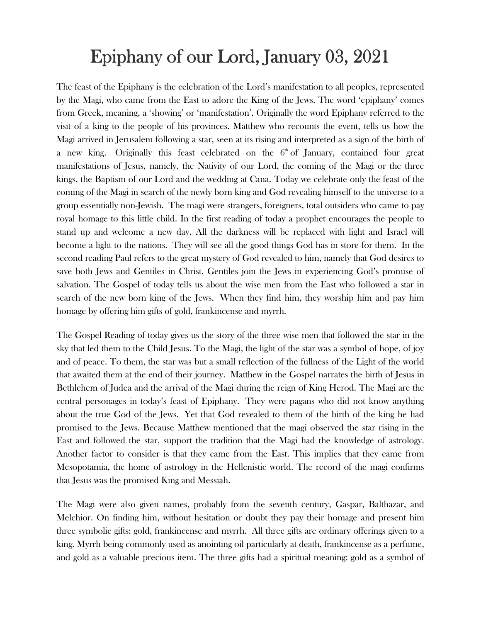## Epiphany of our Lord, January 03, 2021

The feast of the Epiphany is the celebration of the Lord's manifestation to all peoples, represented by the Magi, who came from the East to adore the King of the Jews. The word 'epiphany' comes from Greek, meaning, a 'showing' or 'manifestation'. Originally the word Epiphany referred to the visit of a king to the people of his provinces. Matthew who recounts the event, tells us how the Magi arrived in Jerusalem following a star, seen at its rising and interpreted as a sign of the birth of a new king. Originally this feast celebrated on the  $6<sup>th</sup>$  of January, contained four great manifestations of Jesus, namely, the Nativity of our Lord, the coming of the Magi or the three kings, the Baptism of our Lord and the wedding at Cana. Today we celebrate only the feast of the coming of the Magi in search of the newly born king and God revealing himself to the universe to a group essentially non-Jewish. The magi were strangers, foreigners, total outsiders who came to pay royal homage to this little child. In the first reading of today a prophet encourages the people to stand up and welcome a new day. All the darkness will be replaced with light and Israel will become a light to the nations. They will see all the good things God has in store for them. In the second reading Paul refers to the great mystery of God revealed to him, namely that God desires to save both Jews and Gentiles in Christ. Gentiles join the Jews in experiencing God's promise of salvation. The Gospel of today tells us about the wise men from the East who followed a star in search of the new born king of the Jews. When they find him, they worship him and pay him homage by offering him gifts of gold, frankincense and myrrh.

The Gospel Reading of today gives us the story of the three wise men that followed the star in the sky that led them to the Child Jesus. To the Magi, the light of the star was a symbol of hope, of joy and of peace. To them, the star was but a small reflection of the fullness of the Light of the world that awaited them at the end of their journey. Matthew in the Gospel narrates the birth of Jesus in Bethlehem of Judea and the arrival of the Magi during the reign of King Herod. The Magi are the central personages in today's feast of Epiphany. They were pagans who did not know anything about the true God of the Jews. Yet that God revealed to them of the birth of the king he had promised to the Jews. Because Matthew mentioned that the magi observed the star rising in the East and followed the star, support the tradition that the Magi had the knowledge of astrology. Another factor to consider is that they came from the East. This implies that they came from Mesopotamia, the home of astrology in the Hellenistic world. The record of the magi confirms that Jesus was the promised King and Messiah.

The Magi were also given names, probably from the seventh century, Gaspar, Balthazar, and Melchior. On finding him, without hesitation or doubt they pay their homage and present him three symbolic gifts: gold, frankincense and myrrh. All three gifts are ordinary offerings given to a king. Myrrh being commonly used as anointing oil particularly at death, frankincense as a perfume, and gold as a valuable precious item. The three gifts had a spiritual meaning: gold as a symbol of